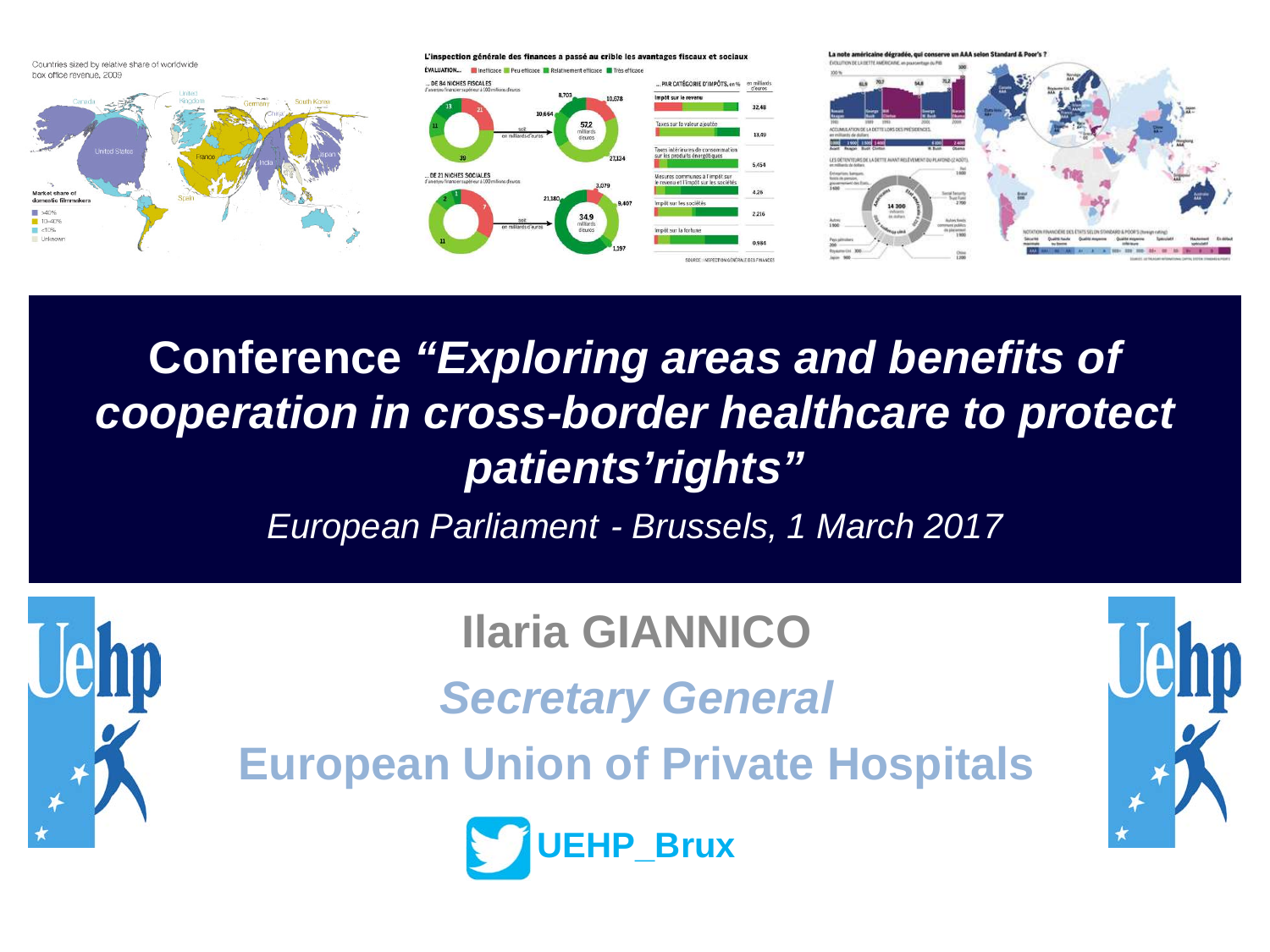Countries sized by relative share of worldwide box office revenue, 2009









**Conference** *"Exploring areas and benefits of cooperation in cross-border healthcare to protect patients'rights"*

*European Parliament - Brussels, 1 March 2017*



**Ilaria GIANNICO**

*Secretary General*

**European Union of Private Hospitals**



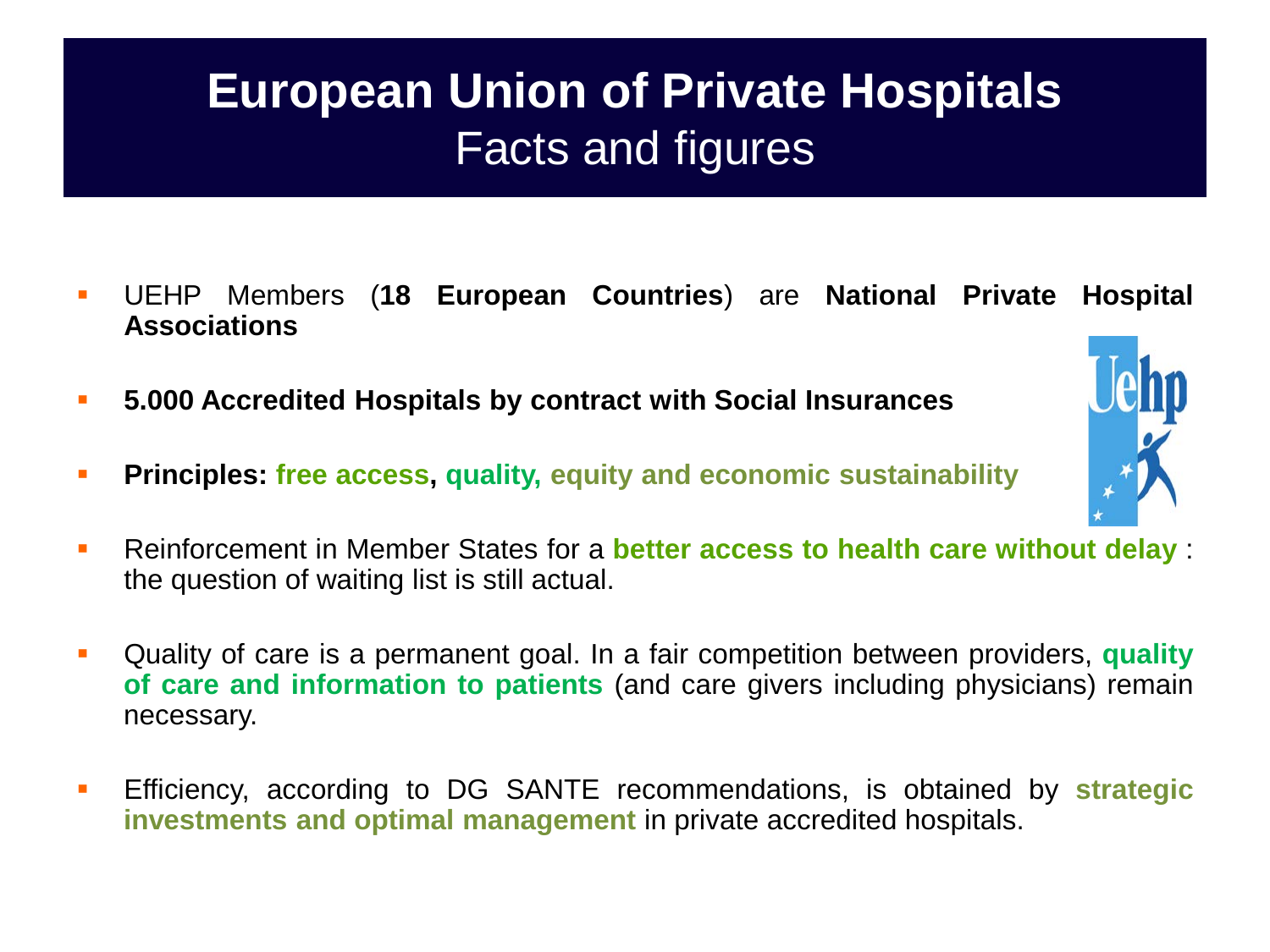## **European Union of Private Hospitals** Facts and figures

- UEHP Members (**18 European Countries**) are **National Private Hospital Associations**
- **5.000 Accredited Hospitals by contract with Social Insurances**
- **Principles: free access, quality, equity and economic sustainability**



- Quality of care is a permanent goal. In a fair competition between providers, **quality of care and information to patients** (and care givers including physicians) remain necessary.
- Efficiency, according to DG SANTE recommendations, is obtained by **strategic investments and optimal management** in private accredited hospitals.

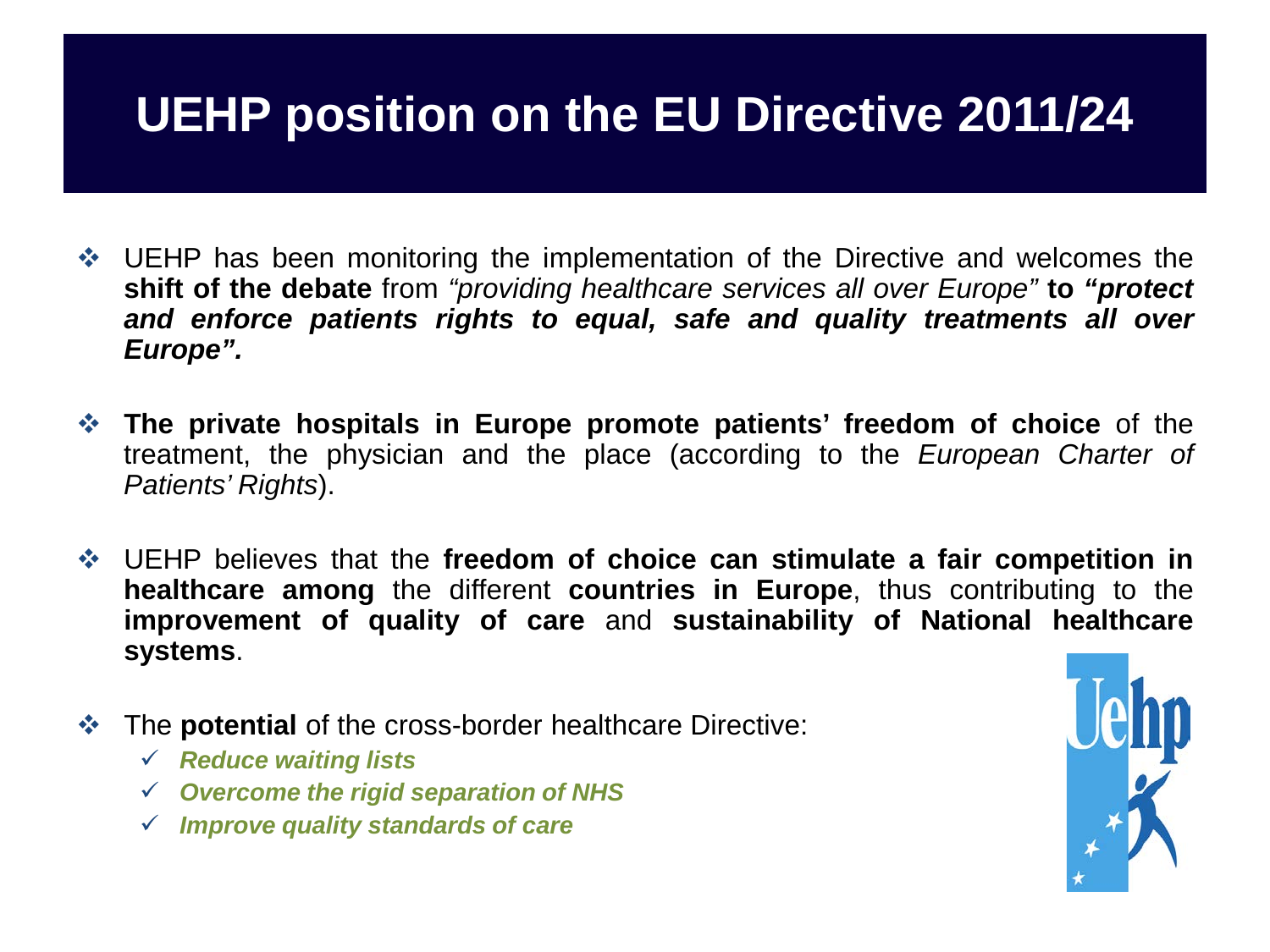## **UEHP position on the EU Directive 2011/24**

- ◆ UEHP has been monitoring the implementation of the Directive and welcomes the **shift of the debate** from *"providing healthcare services all over Europe"* **to** *"protect and enforce patients rights to equal, safe and quality treatments all over Europe".*
- **The private hospitals in Europe promote patients' freedom of choice** of the treatment, the physician and the place (according to the *European Charter of Patients' Rights*).
- UEHP believes that the **freedom of choice can stimulate a fair competition in healthcare among** the different **countries in Europe**, thus contributing to the **improvement of quality of care** and **sustainability of National healthcare systems**.
- The **potential** of the cross-border healthcare Directive:
	- *Reduce waiting lists*
	- *Overcome the rigid separation of NHS*
	- *Improve quality standards of care*

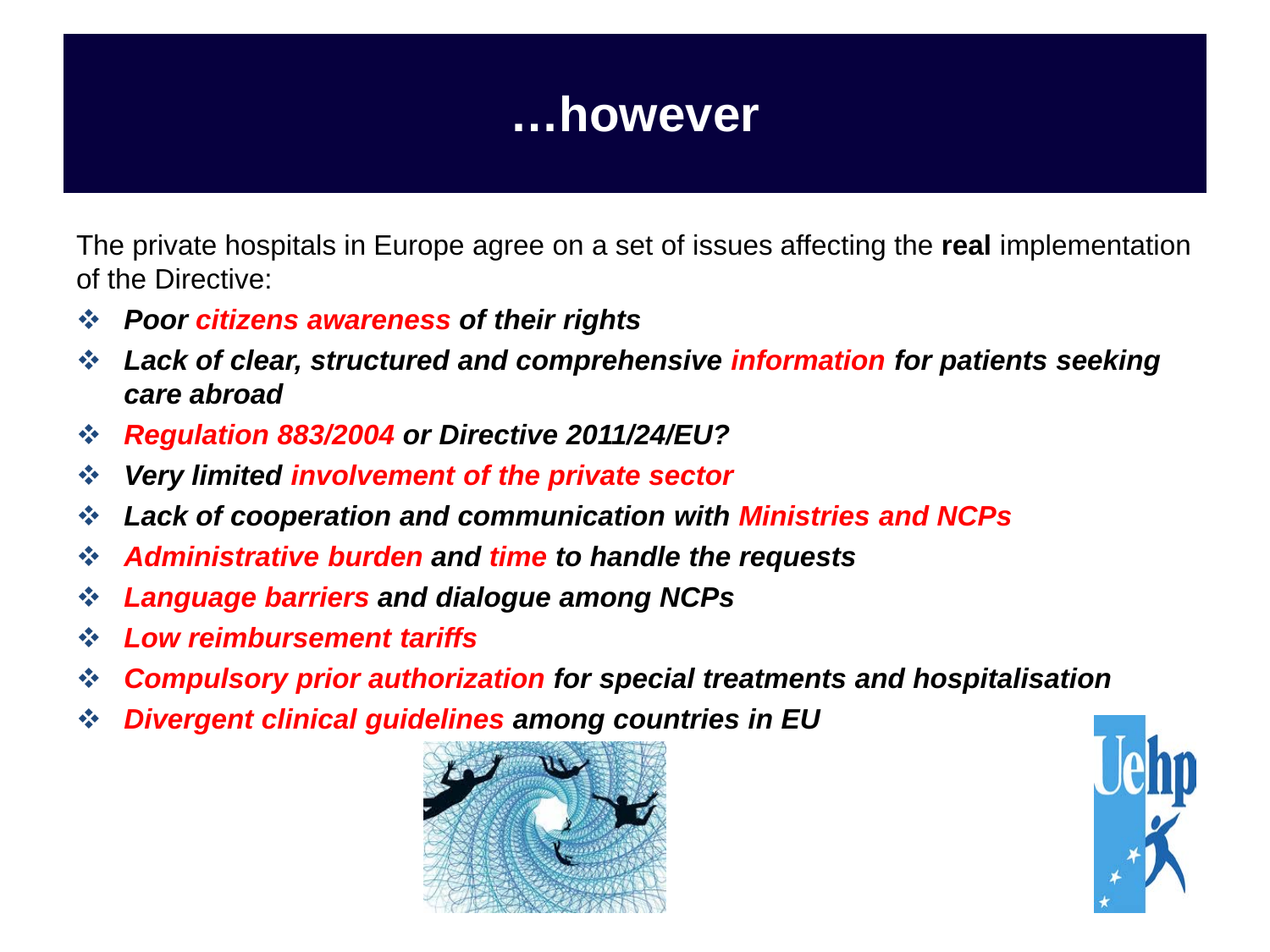### **…however**

The private hospitals in Europe agree on a set of issues affecting the **real** implementation of the Directive:

- *Poor citizens awareness of their rights*
- *Lack of clear, structured and comprehensive information for patients seeking care abroad*
- *Regulation 883/2004 or Directive 2011/24/EU?*
- *Very limited involvement of the private sector*
- *Lack of cooperation and communication with Ministries and NCPs*
- *Administrative burden and time to handle the requests*
- *Language barriers and dialogue among NCPs*
- *Low reimbursement tariffs*
- *Compulsory prior authorization for special treatments and hospitalisation*
- *Divergent clinical guidelines among countries in EU*



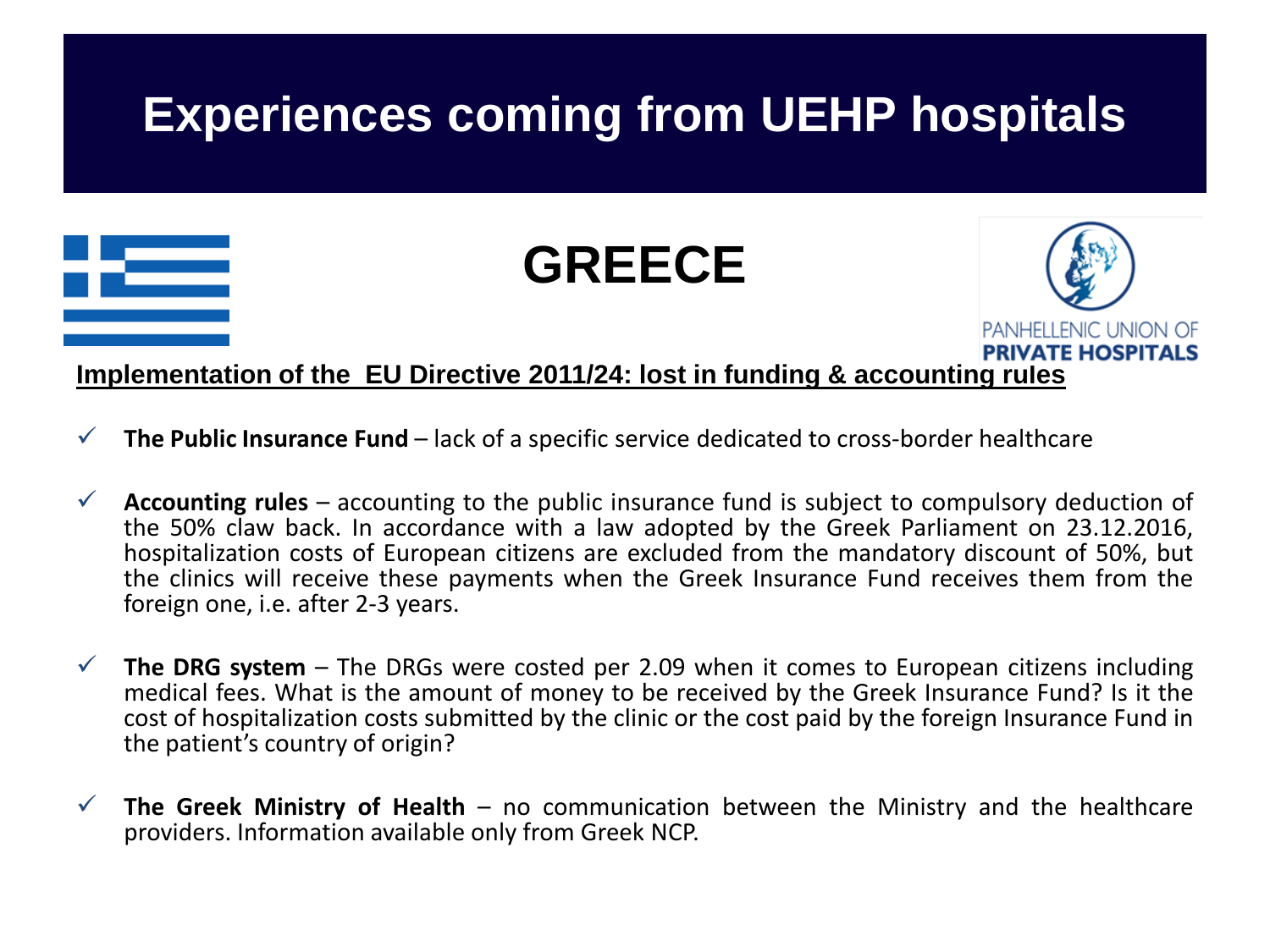

- **The Public Insurance Fund**  lack of a specific service dedicated to cross-border healthcare
- **Accounting rules** accounting to the public insurance fund is subject to compulsory deduction of hospitalization costs of European citizens are excluded from the mandatory discount of 50%, but the clinics will receive these payments when the Greek Insurance Fund receives them from the foreign one, i.e. after 2-3 years.
- **The DRG system** The DRGs were costed per 2.09 when it comes to European citizens including medical fees. What is the amount of money to be received by the Greek Insurance Fund? Is it the cost of hospitalization costs submitted by the clinic or the cost paid by the foreign Insurance Fund in the patient's country of origin?
- **The Greek Ministry of Health** no communication between the Ministry and the healthcare providers. Information available only from Greek NCP.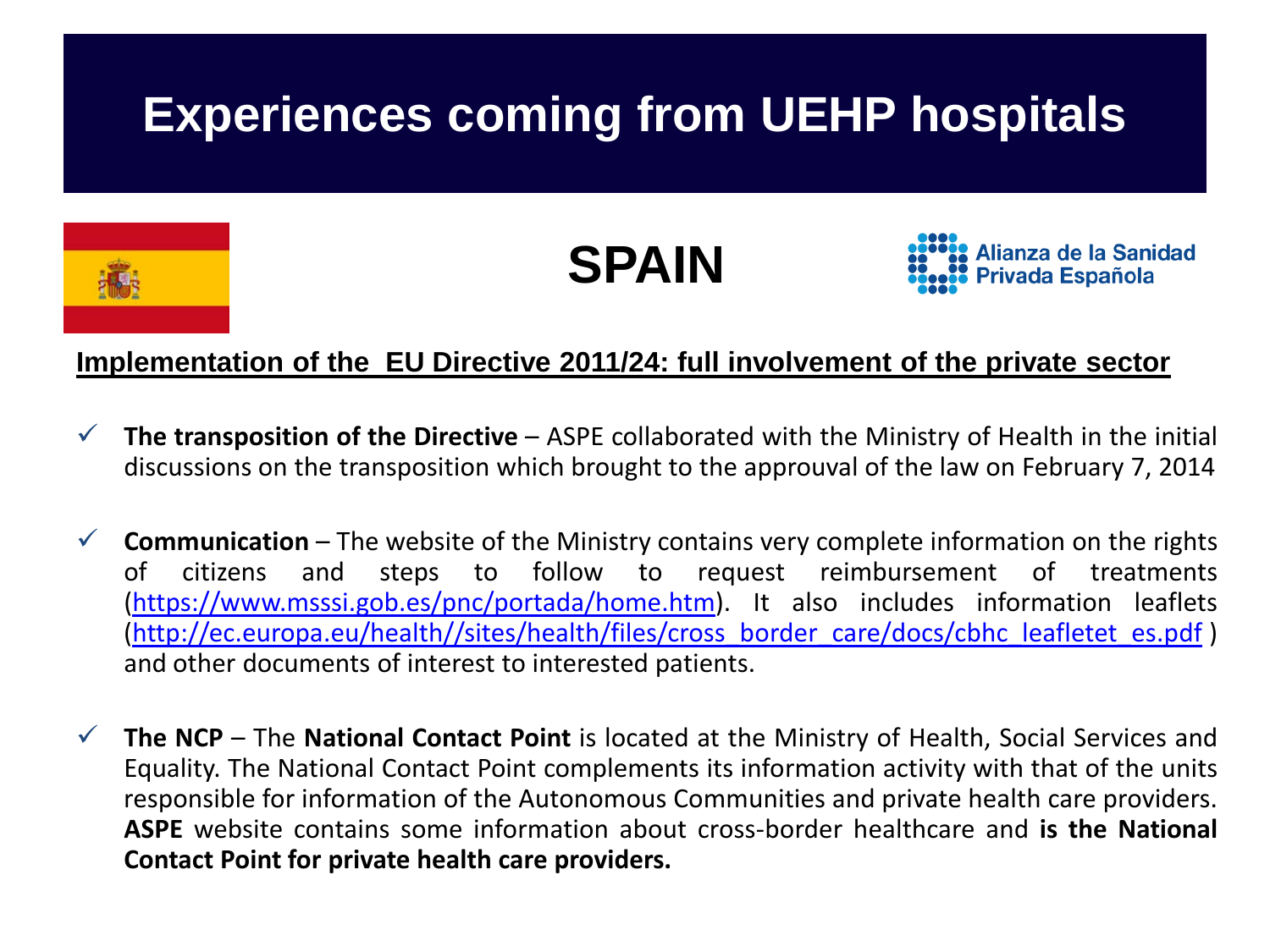## **Experiences coming from UEHP hospitals**



**SPAIN**

Alianza de la Sanidad Privada Española

### **Implementation of the EU Directive 2011/24: full involvement of the private sector**

- **The transposition of the Directive** ASPE collaborated with the Ministry of Health in the initial discussions on the transposition which brought to the approuval of the law on February 7, 2014
- **Communication** The website of the Ministry contains very complete information on the rights of citizens and steps to follow to request reimbursement of treatments [\(https://www.msssi.gob.es/pnc/portada/home.htm](https://www.msssi.gob.es/pnc/portada/home.htm)). It also includes information leaflets [\(http://ec.europa.eu/health//sites/health/files/cross\\_border\\_care/docs/cbhc\\_leafletet\\_es.pdf](http://ec.europa.eu/health/sites/health/files/cross_border_care/docs/cbhc_leafletet_es.pdf) ) and other documents of interest to interested patients.
- **The NCP** The **National Contact Point** is located at the Ministry of Health, Social Services and Equality. The National Contact Point complements its information activity with that of the units responsible for information of the Autonomous Communities and private health care providers. **ASPE** website contains some information about cross-border healthcare and **is the National Contact Point for private health care providers.**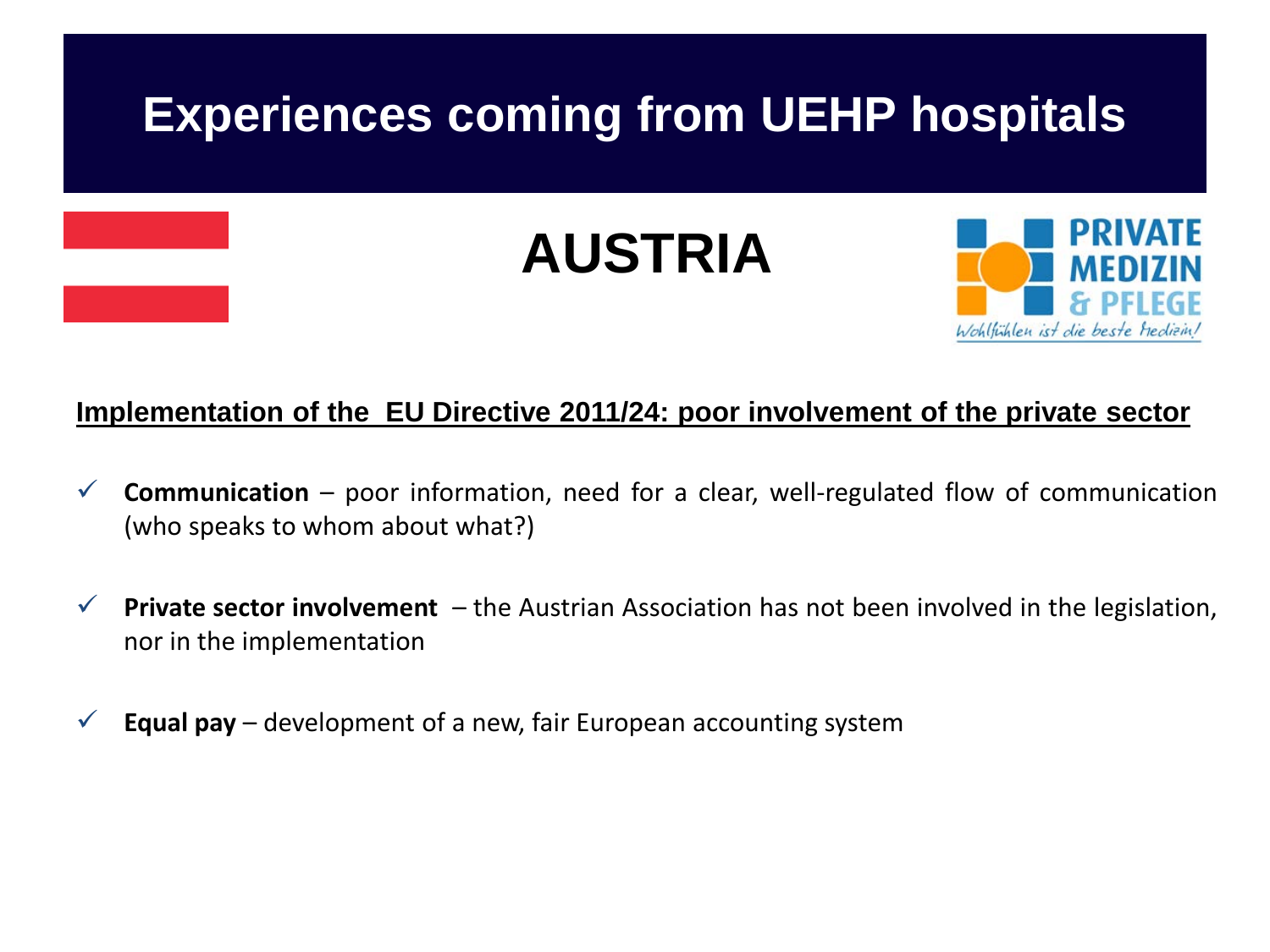

#### **Implementation of the EU Directive 2011/24: poor involvement of the private sector**

- $\checkmark$  **Communication** poor information, need for a clear, well-regulated flow of communication (who speaks to whom about what?)
- **Private sector involvement**  the Austrian Association has not been involved in the legislation, nor in the implementation
- $\checkmark$  **Equal pay** development of a new, fair European accounting system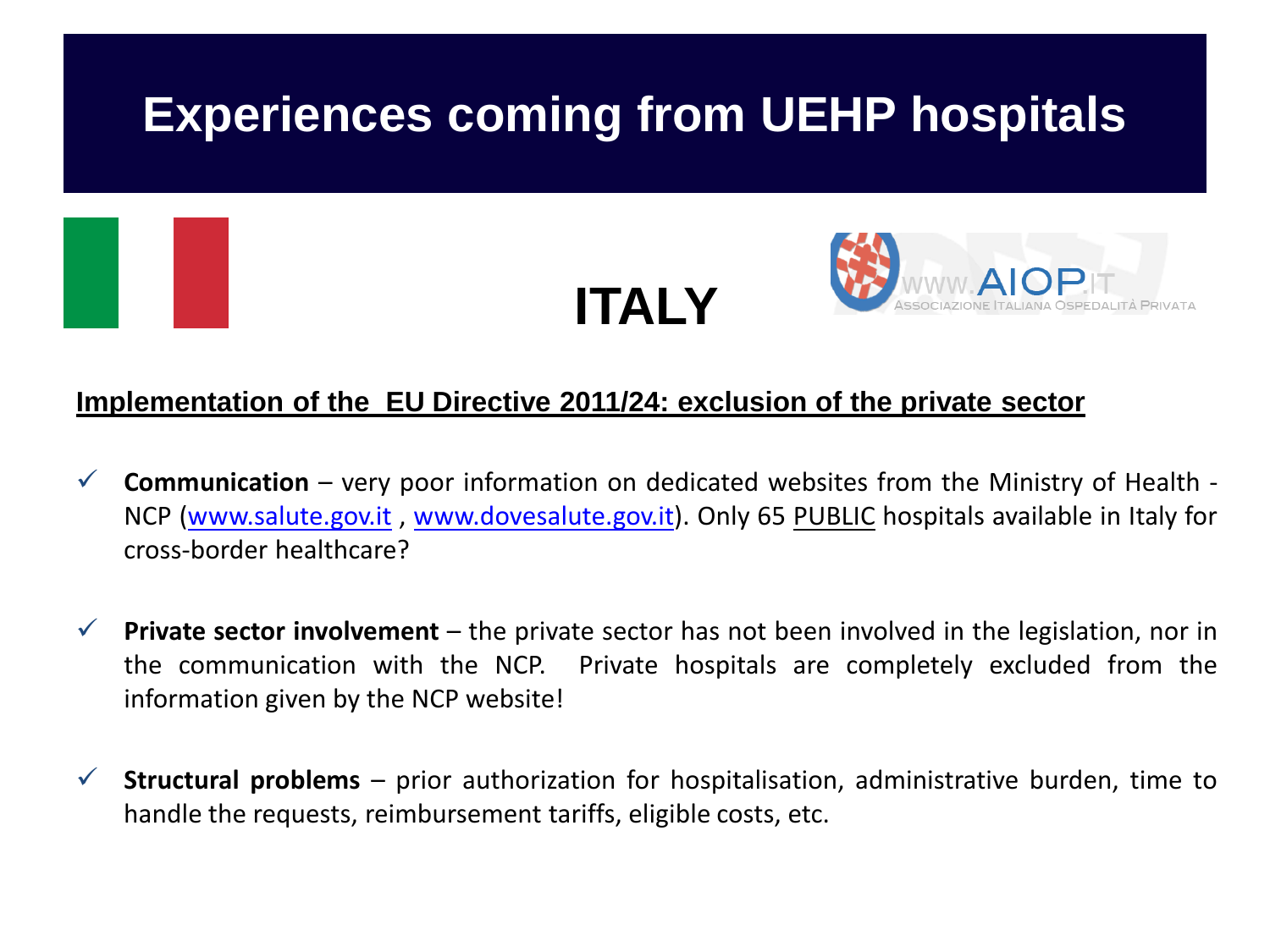

#### **Implementation of the EU Directive 2011/24: exclusion of the private sector**

- **Communication** very poor information on dedicated websites from the Ministry of Health NCP [\(www.salute.gov.it](http://www.salute.gov.it/) , [www.dovesalute.gov.it](http://www.dovesalute.gov.it/)). Only 65 PUBLIC hospitals available in Italy for cross-border healthcare?
- **Private sector involvement** the private sector has not been involved in the legislation, nor in the communication with the NCP. Private hospitals are completely excluded from the information given by the NCP website!
- $\checkmark$  **Structural problems** prior authorization for hospitalisation, administrative burden, time to handle the requests, reimbursement tariffs, eligible costs, etc.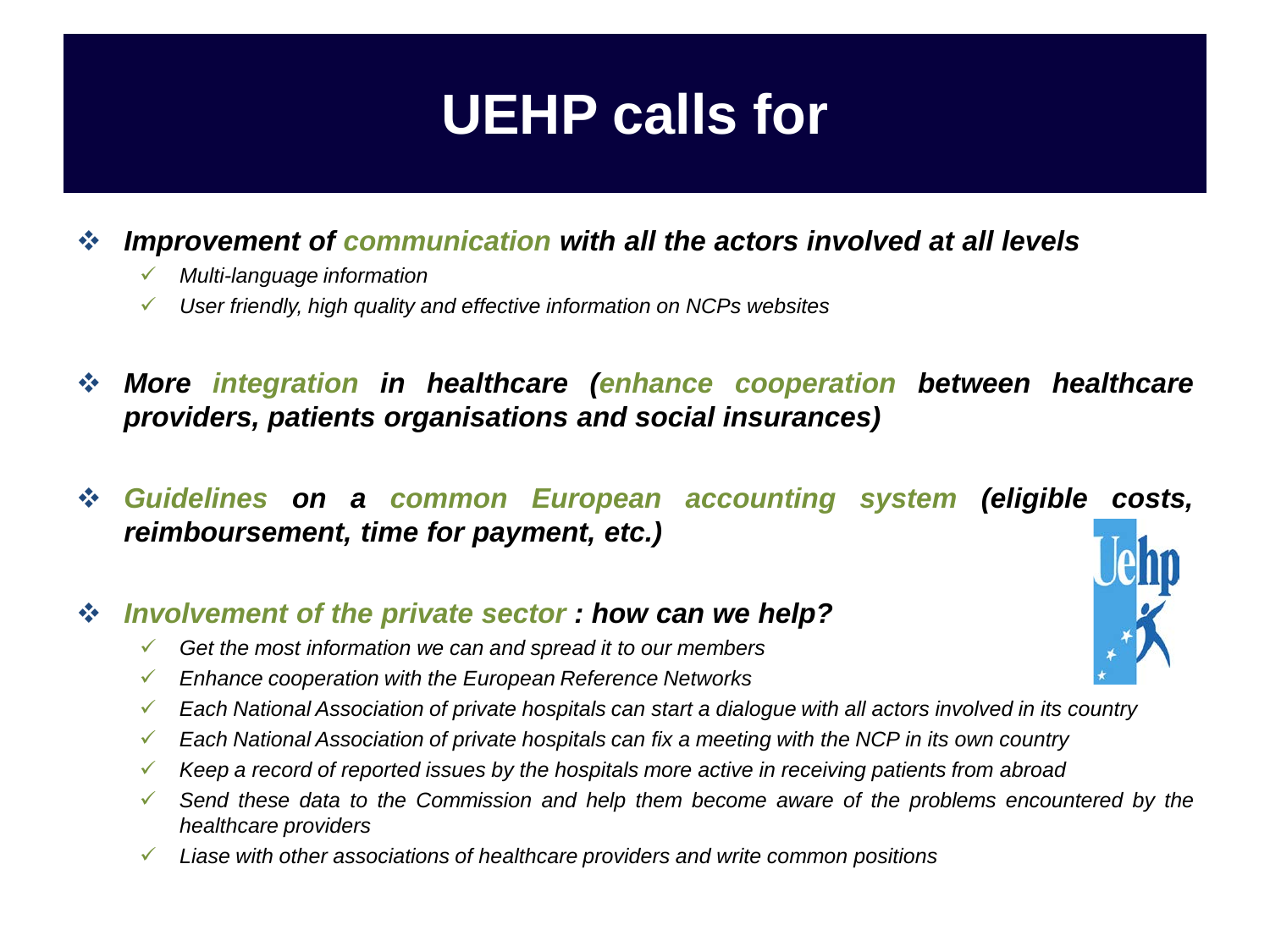## **UEHP calls for**

### *Improvement of communication with all the actors involved at all levels*

- *Multi-language information*
- *User friendly, high quality and effective information on NCPs websites*
- *More integration in healthcare (enhance cooperation between healthcare providers, patients organisations and social insurances)*
- *Guidelines on a common European accounting system (eligible costs, reimboursement, time for payment, etc.)*

### *Involvement of the private sector : how can we help?*

- *Get the most information we can and spread it to our members*
- *Enhance cooperation with the European Reference Networks*
- Each National Association of private hospitals can start a dialogue with all actors involved in its country
- *Each National Association of private hospitals can fix a meeting with the NCP in its own country*
- *Keep a record of reported issues by the hospitals more active in receiving patients from abroad*
- *Send these data to the Commission and help them become aware of the problems encountered by the healthcare providers*
- *Liase with other associations of healthcare providers and write common positions*

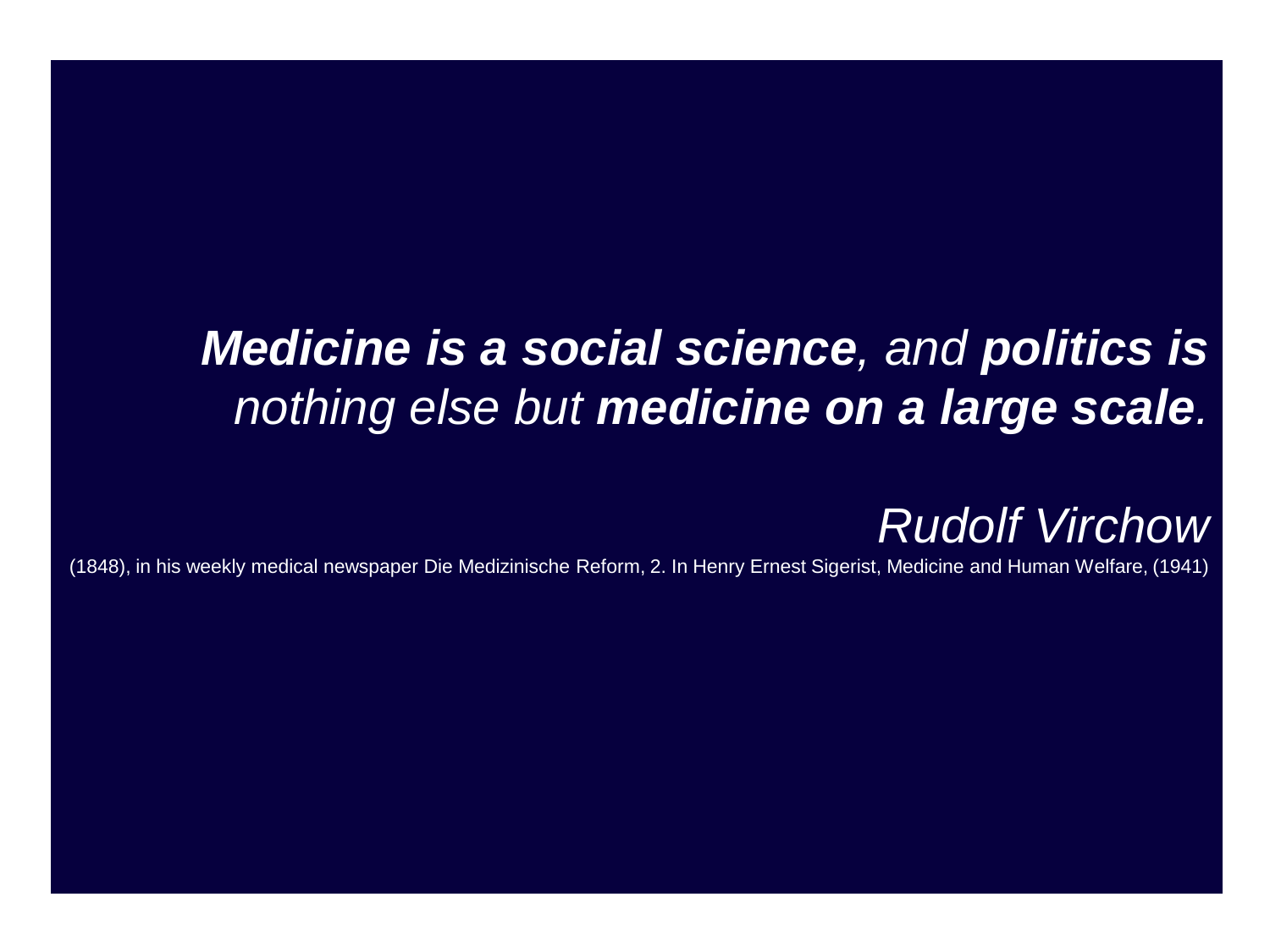## *Medicine is a social science, and politics is nothing else but medicine on a large scale.*

### *Rudolf Virchow*

(1848), in his weekly medical newspaper Die Medizinische Reform, 2. In Henry Ernest Sigerist, Medicine and Human Welfare, (1941)